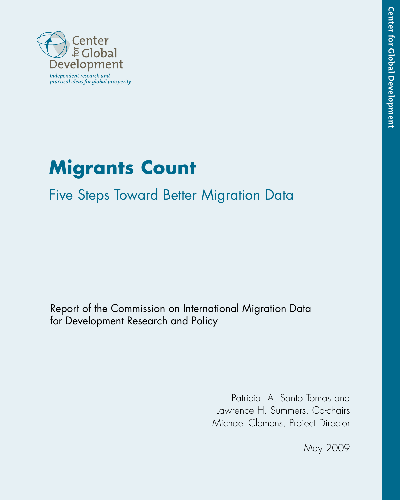

# **Migrants Count**

## Five Steps Toward Better Migration Data

Report of the Commission on International Migration Data for Development Research and Policy

> Patricia A. Santo Tomas and Lawrence H. Summers, Co-chairs Michael Clemens, Project Director

> > May 2009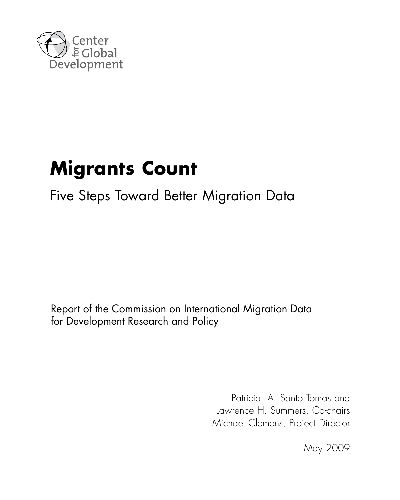

# **Migrants Count**

## Five Steps Toward Better Migration Data

Report of the Commission on International Migration Data for Development Research and Policy

> Patricia A. Santo Tomas and Lawrence H. Summers, Co-chairs Michael Clemens, Project Director

> > May 2009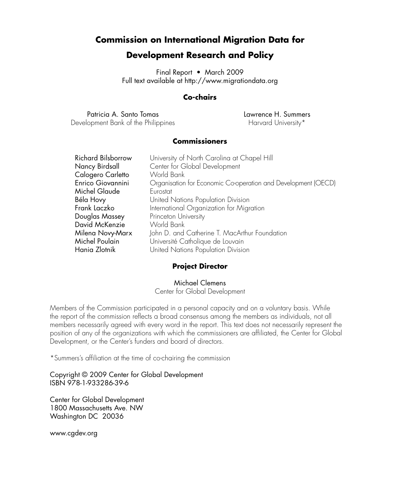### **Commission on International Migration Data for**

### **Development Research and Policy**

Final Report • March 2009 Full text available at http://www.migrationdata.org

#### **Co-chairs**

Patricia A. Santo Tomas Development Bank of the Philippines Lawrence H. Summers Harvard University\*

#### **Commissioners**

| <b>Richard Bilsborrow</b> | University of North Carolina at Chapel Hill                   |
|---------------------------|---------------------------------------------------------------|
| Nancy Birdsall            | Center for Global Development                                 |
| Calogero Carletto         | World Bank                                                    |
| Enrico Giovannini         | Organisation for Economic Co-operation and Development (OECD) |
| Michel Glaude             | Eurostat                                                      |
| Béla Hovy                 | United Nations Population Division                            |
| Frank Laczko              | International Organization for Migration                      |
| Douglas Massey            | Princeton University                                          |
| David McKenzie            | World Bank                                                    |
| Milena Novy-Marx          | John D. and Catherine T. MacArthur Foundation                 |
| Michel Poulain            | Université Catholique de Louvain                              |
| Hania Zlotnik             | United Nations Population Division                            |

#### **Project Director**

Michael Clemens

Center for Global Development

Members of the Commission participated in a personal capacity and on a voluntary basis. While the report of the commission reflects a broad consensus among the members as individuals, not all members necessarily agreed with every word in the report. This text does not necessarily represent the position of any of the organizations with which the commissioners are affiliated, the Center for Global Development, or the Center's funders and board of directors.

\*Summers's affiliation at the time of co-chairing the commission

Copyright © 2009 Center for Global Development ISBN 978-1-933286-39-6

Center for Global Development 1800 Massachusetts Ave. NW Washington DC 20036

www.cgdev.org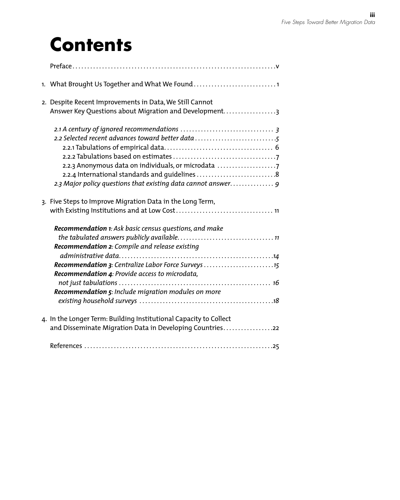## **Contents**

| 1. What Brought Us Together and What We Found                                                                                                                                                                           |
|-------------------------------------------------------------------------------------------------------------------------------------------------------------------------------------------------------------------------|
| 2. Despite Recent Improvements in Data, We Still Cannot<br>Answer Key Questions about Migration and Development3                                                                                                        |
| 2.2 Selected recent advances toward better data<br>2.2.3 Anonymous data on individuals, or microdata<br>2.2.4 International standards and guidelines 8<br>2.3 Major policy questions that existing data cannot answer 9 |
| 3. Five Steps to Improve Migration Data in the Long Term,                                                                                                                                                               |
| Recommendation 1: Ask basic census questions, and make<br>Recommendation 2: Compile and release existing                                                                                                                |
| Recommendation 3: Centralize Labor Force Surveys 15                                                                                                                                                                     |
| Recommendation 4: Provide access to microdata,<br>Recommendation 5: Include migration modules on more                                                                                                                   |
| 4. In the Longer Term: Building Institutional Capacity to Collect<br>and Disseminate Migration Data in Developing Countries22                                                                                           |
|                                                                                                                                                                                                                         |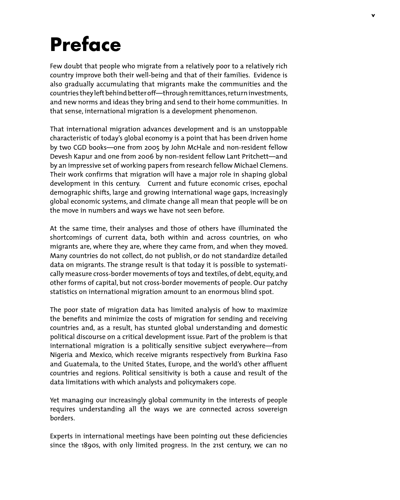# **Preface**

Few doubt that people who migrate from a relatively poor to a relatively rich country improve both their well-being and that of their families. Evidence is also gradually accumulating that migrants make the communities and the countries they left behind better off—through remittances, return investments, and new norms and ideas they bring and send to their home communities. In that sense, international migration is a development phenomenon.

That international migration advances development and is an unstoppable characteristic of today's global economy is a point that has been driven home by two CGD books—one from 2005 by John McHale and non-resident fellow Devesh Kapur and one from 2006 by non-resident fellow Lant Pritchett—and by an impressive set of working papers from research fellow Michael Clemens. Their work confirms that migration will have a major role in shaping global development in this century. Current and future economic crises, epochal demographic shifts, large and growing international wage gaps, increasingly global economic systems, and climate change all mean that people will be on the move in numbers and ways we have not seen before.

At the same time, their analyses and those of others have illuminated the shortcomings of current data, both within and across countries, on who migrants are, where they are, where they came from, and when they moved. Many countries do not collect, do not publish, or do not standardize detailed data on migrants. The strange result is that today it is possible to systematically measure cross-border movements of toys and textiles, of debt, equity, and other forms of capital, but not cross-border movements of people. Our patchy statistics on international migration amount to an enormous blind spot.

The poor state of migration data has limited analysis of how to maximize the benefits and minimize the costs of migration for sending and receiving countries and, as a result, has stunted global understanding and domestic political discourse on a critical development issue. Part of the problem is that international migration is a politically sensitive subject everywhere—from Nigeria and Mexico, which receive migrants respectively from Burkina Faso and Guatemala, to the United States, Europe, and the world's other affluent countries and regions. Political sensitivity is both a cause and result of the data limitations with which analysts and policymakers cope.

Yet managing our increasingly global community in the interests of people requires understanding all the ways we are connected across sovereign borders.

Experts in international meetings have been pointing out these deficiencies since the 1890s, with only limited progress. In the 21st century, we can no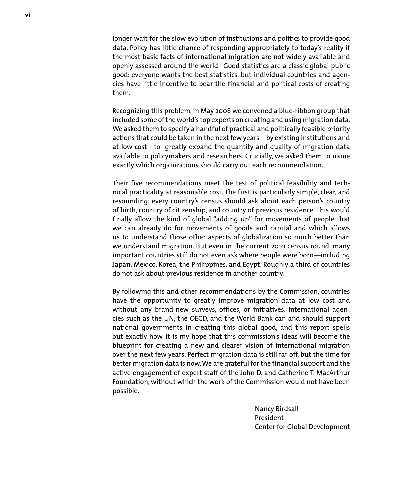longer wait for the slow evolution of institutions and politics to provide good data. Policy has little chance of responding appropriately to today's reality if the most basic facts of international migration are not widely available and openly assessed around the world. Good statistics are a classic global public good: everyone wants the best statistics, but individual countries and agencies have little incentive to bear the financial and political costs of creating them.

Recognizing this problem, in May 2008 we convened a blue-ribbon group that included some of the world's top experts on creating and using migration data. We asked them to specify a handful of practical and politically feasible priority actions that could be taken in the next few years—by existing institutions and at low cost—to greatly expand the quantity and quality of migration data available to policymakers and researchers. Crucially, we asked them to name exactly which organizations should carry out each recommendation.

Their five recommendations meet the test of political feasibility and technical practicality at reasonable cost. The first is particularly simple, clear, and resounding: every country's census should ask about each person's country of birth, country of citizenship, and country of previous residence. This would finally allow the kind of global "adding up" for movements of people that we can already do for movements of goods and capital and which allows us to understand those other aspects of globalization so much better than we understand migration. But even in the current 2010 census round, many important countries still do not even ask where people were born—including Japan, Mexico, Korea, the Philippines, and Egypt. Roughly a third of countries do not ask about previous residence in another country.

By following this and other recommendations by the Commission, countries have the opportunity to greatly improve migration data at low cost and without any brand-new surveys, offices, or initiatives. International agencies such as the UN, the OECD, and the World Bank can and should support national governments in creating this global good, and this report spells out exactly how. It is my hope that this commission's ideas will become the blueprint for creating a new and clearer vision of international migration over the next few years. Perfect migration data is still far off, but the time for better migration data is now. We are grateful for the financial support and the active engagement of expert staff of the John D. and Catherine T. MacArthur Foundation, without which the work of the Commission would not have been possible.

> Nancy Birdsall President Center for Global Development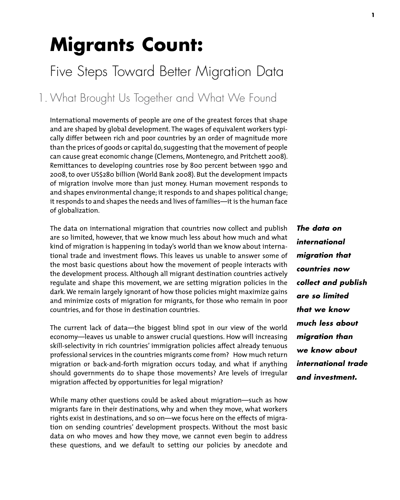# **Migrants Count:**

## Five Steps Toward Better Migration Data

1. What Brought Us Together and What We Found

International movements of people are one of the greatest forces that shape and are shaped by global development. The wages of equivalent workers typically differ between rich and poor countries by an order of magnitude more than the prices of goods or capital do, suggesting that the movement of people can cause great economic change (Clemens, Montenegro, and Pritchett 2008). Remittances to developing countries rose by 800 percent between 1990 and 2008, to over US\$280 billion (World Bank 2008). But the development impacts of migration involve more than just money. Human movement responds to and shapes environmental change; it responds to and shapes political change; it responds to and shapes the needs and lives of families—it is the human face of globalization.

The data on international migration that countries now collect and publish are so limited, however, that we know much less about how much and what kind of migration is happening in today's world than we know about international trade and investment flows. This leaves us unable to answer some of the most basic questions about how the movement of people interacts with the development process. Although all migrant destination countries actively regulate and shape this movement, we are setting migration policies in the dark. We remain largely ignorant of how those policies might maximize gains and minimize costs of migration for migrants, for those who remain in poor countries, and for those in destination countries.

The current lack of data—the biggest blind spot in our view of the world economy—leaves us unable to answer crucial questions. How will increasing skill-selectivity in rich countries' immigration policies affect already tenuous professional services in the countries migrants come from? How much return migration or back-and-forth migration occurs today, and what if anything should governments do to shape those movements? Are levels of irregular migration affected by opportunities for legal migration?

While many other questions could be asked about migration—such as how migrants fare in their destinations, why and when they move, what workers rights exist in destinations, and so on—we focus here on the effects of migration on sending countries' development prospects. Without the most basic data on who moves and how they move, we cannot even begin to address these questions, and we default to setting our policies by anecdote and *The data on international migration that countries now collect and publish are so limited that we know much less about migration than we know about international trade and investment.*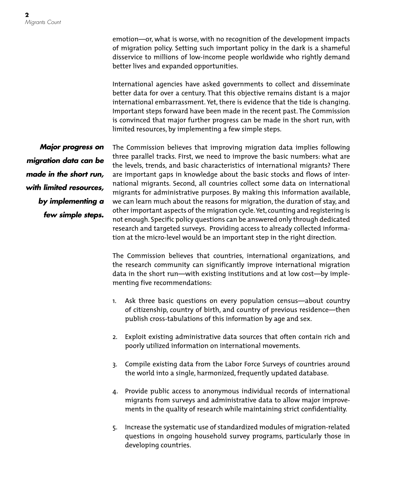emotion—or, what is worse, with no recognition of the development impacts of migration policy. Setting such important policy in the dark is a shameful disservice to millions of low-income people worldwide who rightly demand better lives and expanded opportunities.

International agencies have asked governments to collect and disseminate better data for over a century. That this objective remains distant is a major international embarrassment. Yet, there is evidence that the tide is changing. Important steps forward have been made in the recent past. The Commission is convinced that major further progress can be made in the short run, with limited resources, by implementing a few simple steps.

*Major progress on migration data can be made in the short run, with limited resources, by implementing a few simple steps.*

The Commission believes that improving migration data implies following three parallel tracks. First, we need to improve the basic numbers: what are the levels, trends, and basic characteristics of international migrants? There are important gaps in knowledge about the basic stocks and flows of international migrants. Second, all countries collect some data on international migrants for administrative purposes. By making this information available, we can learn much about the reasons for migration, the duration of stay, and other important aspects of the migration cycle. Yet, counting and registering is not enough. Specific policy questions can be answered only through dedicated research and targeted surveys. Providing access to already collected information at the micro-level would be an important step in the right direction.

The Commission believes that countries, international organizations, and the research community can significantly improve international migration data in the short run—with existing institutions and at low cost—by implementing five recommendations:

- 1. Ask three basic questions on every population census—about country of citizenship, country of birth, and country of previous residence—then publish cross-tabulations of this information by age and sex.
- 2. Exploit existing administrative data sources that often contain rich and poorly utilized information on international movements.
- 3. Compile existing data from the Labor Force Surveys of countries around the world into a single, harmonized, frequently updated database.
- 4. Provide public access to anonymous individual records of international migrants from surveys and administrative data to allow major improvements in the quality of research while maintaining strict confidentiality.
- 5. Increase the systematic use of standardized modules of migration-related questions in ongoing household survey programs, particularly those in developing countries.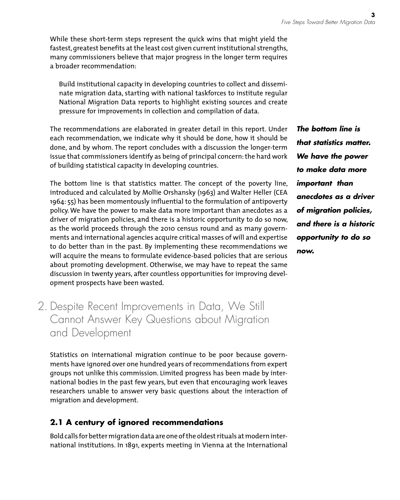While these short-term steps represent the quick wins that might yield the fastest, greatest benefits at the least cost given current institutional strengths, many commissioners believe that major progress in the longer term requires a broader recommendation:

Build institutional capacity in developing countries to collect and disseminate migration data, starting with national taskforces to institute regular National Migration Data reports to highlight existing sources and create pressure for improvements in collection and compilation of data.

The recommendations are elaborated in greater detail in this report. Under each recommendation, we indicate why it should be done, how it should be done, and by whom. The report concludes with a discussion the longer-term issue that commissioners identify as being of principal concern: the hard work of building statistical capacity in developing countries.

The bottom line is that statistics matter. The concept of the poverty line, introduced and calculated by Mollie Orshansky (1963) and Walter Heller (CEA 1964: 55) has been momentously influential to the formulation of antipoverty policy. We have the power to make data more important than anecdotes as a driver of migration policies, and there is a historic opportunity to do so now, as the world proceeds through the 2010 census round and as many governments and international agencies acquire critical masses of will and expertise to do better than in the past. By implementing these recommendations we will acquire the means to formulate evidence-based policies that are serious about promoting development. Otherwise, we may have to repeat the same discussion in twenty years, after countless opportunities for improving development prospects have been wasted.

2. Despite Recent Improvements in Data, We Still Cannot Answer Key Questions about Migration and Development

Statistics on international migration continue to be poor because governments have ignored over one hundred years of recommendations from expert groups not unlike this commission. Limited progress has been made by international bodies in the past few years, but even that encouraging work leaves researchers unable to answer very basic questions about the interaction of migration and development.

### **2.1 A century of ignored recommendations**

Bold calls for better migration data are one of the oldest rituals at modern international institutions. In 1891, experts meeting in Vienna at the International *The bottom line is that statistics matter. We have the power to make data more important than anecdotes as a driver of migration policies, and there is a historic opportunity to do so now.*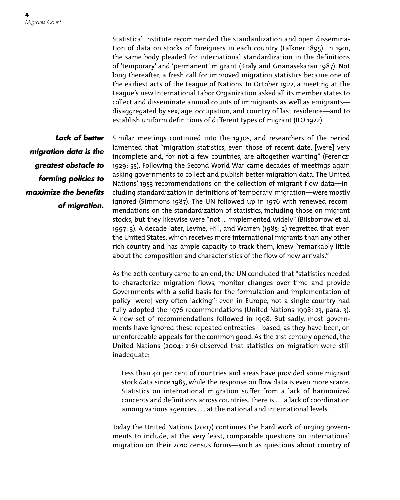Statistical Institute recommended the standardization and open dissemination of data on stocks of foreigners in each country (Falkner 1895). In 1901, the same body pleaded for international standardization in the definitions of 'temporary' and 'permanent' migrant (Kraly and Gnanasekaran 1987). Not long thereafter, a fresh call for improved migration statistics became one of the earliest acts of the League of Nations. In October 1922, a meeting at the League's new International Labor Organization asked all its member states to collect and disseminate annual counts of immigrants as well as emigrants disaggregated by sex, age, occupation, and country of last residence—and to establish uniform definitions of different types of migrant (ILO 1922).

*Lack of better migration data is the greatest obstacle to forming policies to maximize the benefits of migration.*

Similar meetings continued into the 1930s, and researchers of the period lamented that "migration statistics, even those of recent date, [were] very incomplete and, for not a few countries, are altogether wanting" (Ferenczi 1929: 55). Following the Second World War came decades of meetings again asking governments to collect and publish better migration data. The United Nations' 1953 recommendations on the collection of migrant flow data—including standardization in definitions of 'temporary' migration—were mostly ignored (Simmons 1987). The UN followed up in 1976 with renewed recommendations on the standardization of statistics, including those on migrant stocks, but they likewise were "not … implemented widely" (Bilsborrow et al. 1997: 3). A decade later, Levine, Hill, and Warren (1985: 2) regretted that even the United States, which receives more international migrants than any other rich country and has ample capacity to track them, knew "remarkably little about the composition and characteristics of the flow of new arrivals."

As the 20th century came to an end, the UN concluded that "statistics needed to characterize migration flows, monitor changes over time and provide Governments with a solid basis for the formulation and implementation of policy [were] very often lacking"; even in Europe, not a single country had fully adopted the 1976 recommendations (United Nations 1998: 23, para. 3). A new set of recommendations followed in 1998. But sadly, most governments have ignored these repeated entreaties—based, as they have been, on unenforceable appeals for the common good. As the 21st century opened, the United Nations (2004: 216) observed that statistics on migration were still inadequate:

Less than 40 per cent of countries and areas have provided some migrant stock data since 1985, while the response on flow data is even more scarce. Statistics on international migration suffer from a lack of harmonized concepts and definitions across countries. There is ... a lack of coordination among various agencies ... at the national and international levels.

Today the United Nations (2007) continues the hard work of urging governments to include, at the very least, comparable questions on international migration on their 2010 census forms—such as questions about country of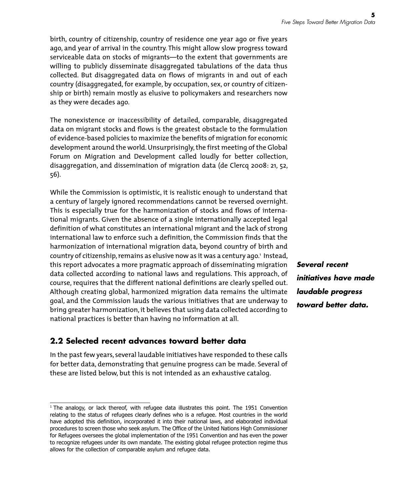birth, country of citizenship, country of residence one year ago or five years ago, and year of arrival in the country. This might allow slow progress toward serviceable data on stocks of migrants—to the extent that governments are willing to publicly disseminate disaggregated tabulations of the data thus collected. But disaggregated data on flows of migrants in and out of each country (disaggregated, for example, by occupation, sex, or country of citizenship or birth) remain mostly as elusive to policymakers and researchers now as they were decades ago.

The nonexistence or inaccessibility of detailed, comparable, disaggregated data on migrant stocks and flows is the greatest obstacle to the formulation of evidence-based policies to maximize the benefits of migration for economic development around the world. Unsurprisingly, the first meeting of the Global Forum on Migration and Development called loudly for better collection, disaggregation, and dissemination of migration data (de Clercq 2008: 21, 52, 56).

While the Commission is optimistic, it is realistic enough to understand that a century of largely ignored recommendations cannot be reversed overnight. This is especially true for the harmonization of stocks and flows of international migrants. Given the absence of a single internationally accepted legal definition of what constitutes an international migrant and the lack of strong international law to enforce such a definition, the Commission finds that the harmonization of international migration data, beyond country of birth and country of citizenship, remains as elusive now as it was a century ago. 1 Instead, this report advocates a more pragmatic approach of disseminating migration data collected according to national laws and regulations. This approach, of course, requires that the different national definitions are clearly spelled out. Although creating global, harmonized migration data remains the ultimate goal, and the Commission lauds the various initiatives that are underway to bring greater harmonization, it believes that using data collected according to national practices is better than having no information at all.

### **2.2 Selected recent advances toward better data**

In the past few years, several laudable initiatives have responded to these calls for better data, demonstrating that genuine progress can be made. Several of these are listed below, but this is not intended as an exhaustive catalog.

*Several recent initiatives have made laudable progress toward better data.*

<sup>&</sup>lt;sup>1</sup> The analogy, or lack thereof, with refugee data illustrates this point. The 1951 Convention relating to the status of refugees clearly defines who is a refugee. Most countries in the world have adopted this definition, incorporated it into their national laws, and elaborated individual procedures to screen those who seek asylum. The Office of the United Nations High Commissioner for Refugees oversees the global implementation of the 1951 Convention and has even the power to recognize refugees under its own mandate. The existing global refugee protection regime thus allows for the collection of comparable asylum and refugee data.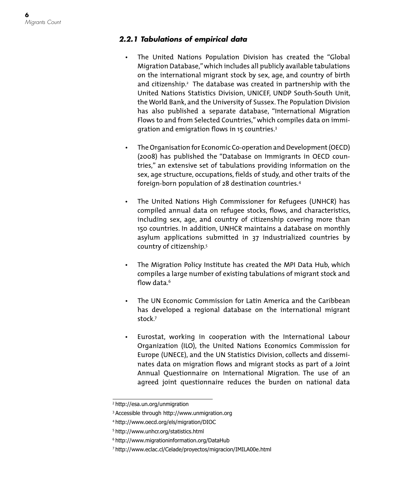#### *2.2.1 Tabulations of empirical data*

- • The United Nations Population Division has created the "Global Migration Database," which includes all publicly available tabulations on the international migrant stock by sex, age, and country of birth and citizenship.<sup>2</sup> The database was created in partnership with the United Nations Statistics Division, UNICEF, UNDP South-South Unit, the World Bank, and the University of Sussex. The Population Division has also published a separate database, "International Migration Flows to and from Selected Countries," which compiles data on immigration and emigration flows in 15 countries. 3
- • The Organisation for Economic Co-operation and Development (OECD) (2008) has published the "Database on Immigrants in OECD countries," an extensive set of tabulations providing information on the sex, age structure, occupations, fields of study, and other traits of the foreign-born population of 28 destination countries. 4
- The United Nations High Commissioner for Refugees (UNHCR) has compiled annual data on refugee stocks, flows, and characteristics, including sex, age, and country of citizenship covering more than 150 countries. In addition, UNHCR maintains a database on monthly asylum applications submitted in 37 industrialized countries by country of citizenship. 5
- The Migration Policy Institute has created the MPI Data Hub, which compiles a large number of existing tabulations of migrant stock and flow data. 6
- The UN Economic Commission for Latin America and the Caribbean has developed a regional database on the international migrant stock. 7
- • Eurostat, working in cooperation with the International Labour Organization (ILO), the United Nations Economics Commission for Europe (UNECE), and the UN Statistics Division, collects and disseminates data on migration flows and migrant stocks as part of a Joint Annual Questionnaire on International Migration. The use of an agreed joint questionnaire reduces the burden on national data

<sup>2</sup> http://esa.un.org/unmigration

<sup>3</sup> Accessible through http://www.unmigration.org

<sup>4</sup> http://www.oecd.org/els/migration/DIOC

<sup>5</sup> http://www.unhcr.org/statistics.html

<sup>6</sup> http://www.migrationinformation.org/DataHub

<sup>7</sup> http://www.eclac.cl/Celade/proyectos/migracion/IMILA00e.html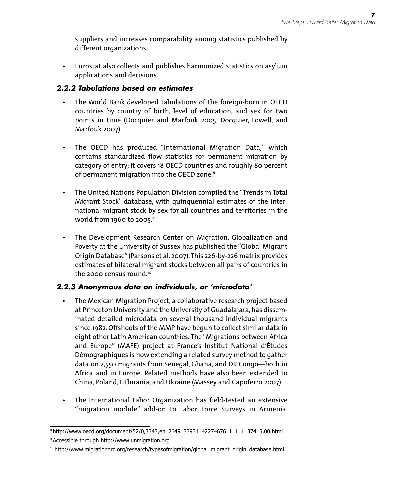suppliers and increases comparability among statistics published by different organizations.

Eurostat also collects and publishes harmonized statistics on asylum applications and decisions.

#### *2.2.2 Tabulations based on estimates*

- The World Bank developed tabulations of the foreign-born in OECD countries by country of birth, level of education, and sex for two points in time (Docquier and Marfouk 2005; Docquier, Lowell, and Marfouk 2007).
- • The OECD has produced "International Migration Data," which contains standardized flow statistics for permanent migration by category of entry; it covers 18 OECD countries and roughly 80 percent of permanent migration into the OECD zone. 8
- The United Nations Population Division compiled the "Trends in Total Migrant Stock" database, with quinquennial estimates of the international migrant stock by sex for all countries and territories in the world from 1960 to 2005. 9
- The Development Research Center on Migration, Globalization and Poverty at the University of Sussex has published the "Global Migrant Origin Database" (Parsons et al. 2007). This 226-by-226 matrix provides estimates of bilateral migrant stocks between all pairs of countries in the 2000 census round. 10

#### *2.2.3 Anonymous data on individuals, or 'microdata'*

- The Mexican Migration Project, a collaborative research project based at Princeton University and the University of Guadalajara, has disseminated detailed microdata on several thousand individual migrants since 1982. Offshoots of the MMP have begun to collect similar data in eight other Latin American countries. The "Migrations between Africa and Europe" (MAFE) project at France's Institut National d'Études Démographiques is now extending a related survey method to gather data on 2,550 migrants from Senegal, Ghana, and DR Congo—both in Africa and in Europe. Related methods have also been extended to China, Poland, Lithuania, and Ukraine (Massey and Capoferro 2007).
- The International Labor Organization has field-tested an extensive "migration module" add-on to Labor Force Surveys in Armenia,

<sup>8</sup> http://www.oecd.org/document/52/0,3343,en\_2649\_33931\_42274676\_1\_1\_1\_37415,00.html

<sup>9</sup> Accessible through http://www.unmigration.org

<sup>10</sup> http://www.migrationdrc.org/research/typesofmigration/global\_migrant\_origin\_database.html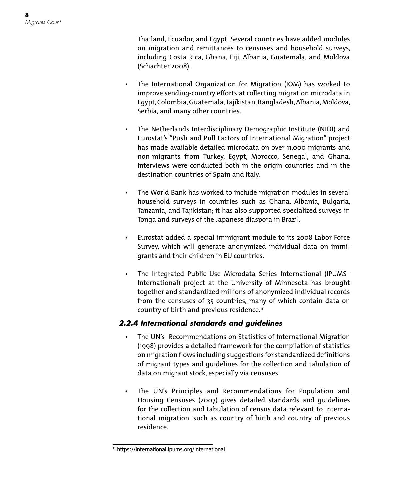Thailand, Ecuador, and Egypt. Several countries have added modules on migration and remittances to censuses and household surveys, including Costa Rica, Ghana, Fiji, Albania, Guatemala, and Moldova (Schachter 2008).

- The International Organization for Migration (IOM) has worked to improve sending-country efforts at collecting migration microdata in Egypt, Colombia, Guatemala, Tajikistan, Bangladesh, Albania, Moldova, Serbia, and many other countries.
- The Netherlands Interdisciplinary Demographic Institute (NIDI) and Eurostat's "Push and Pull Factors of International Migration" project has made available detailed microdata on over 11,000 migrants and non-migrants from Turkey, Egypt, Morocco, Senegal, and Ghana. Interviews were conducted both in the origin countries and in the destination countries of Spain and Italy.
- • The World Bank has worked to include migration modules in several household surveys in countries such as Ghana, Albania, Bulgaria, Tanzania, and Tajikistan; it has also supported specialized surveys in Tonga and surveys of the Japanese diaspora in Brazil.
- • Eurostat added a special immigrant module to its 2008 Labor Force Survey, which will generate anonymized individual data on immigrants and their children in EU countries.
- The Integrated Public Use Microdata Series-International (IPUMS-International) project at the University of Minnesota has brought together and standardized millions of anonymized individual records from the censuses of 35 countries, many of which contain data on country of birth and previous residence. 11

#### *2.2.4 International standards and guidelines*

- • The UN's Recommendations on Statistics of International Migration (1998) provides a detailed framework for the compilation of statistics on migration flows including suggestions for standardized definitions of migrant types and guidelines for the collection and tabulation of data on migrant stock, especially via censuses.
- • The UN's Principles and Recommendations for Population and Housing Censuses (2007) gives detailed standards and guidelines for the collection and tabulation of census data relevant to international migration, such as country of birth and country of previous residence.

<sup>11</sup> https://international.ipums.org/international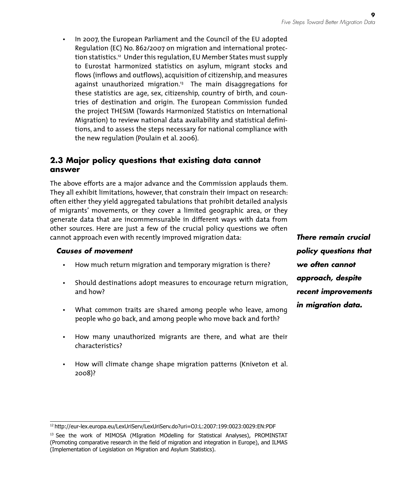In 2007, the European Parliament and the Council of the EU adopted Regulation (EC) No. 862/2007 on migration and international protection statistics. 12 Under this regulation, EU Member States must supply to Eurostat harmonized statistics on asylum, migrant stocks and flows (inflows and outflows), acquisition of citizenship, and measures against unauthorized migration. 13 The main disaggregations for these statistics are age, sex, citizenship, country of birth, and countries of destination and origin. The European Commission funded the project THESIM (Towards Harmonized Statistics on International Migration) to review national data availability and statistical definitions, and to assess the steps necessary for national compliance with the new regulation (Poulain et al. 2006).

#### **2.3 Major policy questions that existing data cannot answer**

The above efforts are a major advance and the Commission applauds them. They all exhibit limitations, however, that constrain their impact on research: often either they yield aggregated tabulations that prohibit detailed analysis of migrants' movements, or they cover a limited geographic area, or they generate data that are incommensurable in different ways with data from other sources. Here are just a few of the crucial policy questions we often cannot approach even with recently improved migration data:

#### *Causes of movement*

- How much return migration and temporary migration is there?
- Should destinations adopt measures to encourage return migration, and how?
- What common traits are shared among people who leave, among people who go back, and among people who move back and forth?
- • How many unauthorized migrants are there, and what are their characteristics?
- How will climate change shape migration patterns (Kniveton et al. 2008)?

*There remain crucial policy questions that we often cannot approach, despite recent improvements in migration data.*

<sup>12</sup> http://eur-lex.europa.eu/LexUriServ/LexUriServ.do?uri=OJ:L:2007:199:0023:0029:EN:PDF

<sup>&</sup>lt;sup>13</sup> See the work of MIMOSA (MIgration MOdelling for Statistical Analyses), PROMINSTAT (Promoting comparative research in the field of migration and integration in Europe), and ILMAS (Implementation of Legislation on Migration and Asylum Statistics).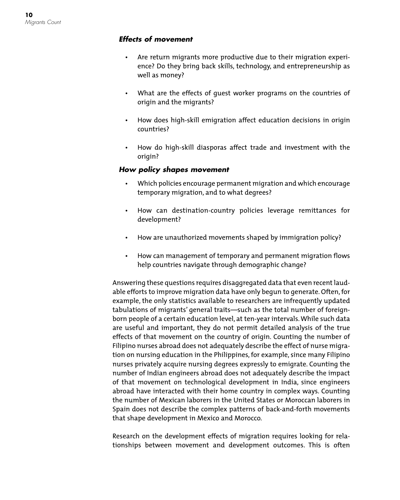#### *Effects of movement*

- • Are return migrants more productive due to their migration experience? Do they bring back skills, technology, and entrepreneurship as well as money?
- What are the effects of quest worker programs on the countries of origin and the migrants?
- • How does high-skill emigration affect education decisions in origin countries?
- • How do high-skill diasporas affect trade and investment with the origin?

#### *How policy shapes movement*

- • Which policies encourage permanent migration and which encourage temporary migration, and to what degrees?
- • How can destination-country policies leverage remittances for development?
- How are unauthorized movements shaped by immigration policy?
- • How can management of temporary and permanent migration flows help countries navigate through demographic change?

Answering these questions requires disaggregated data that even recent laudable efforts to improve migration data have only begun to generate. Often, for example, the only statistics available to researchers are infrequently updated tabulations of migrants' general traits—such as the total number of foreignborn people of a certain education level, at ten-year intervals. While such data are useful and important, they do not permit detailed analysis of the true effects of that movement on the country of origin. Counting the number of Filipino nurses abroad does not adequately describe the effect of nurse migration on nursing education in the Philippines, for example, since many Filipino nurses privately acquire nursing degrees expressly to emigrate. Counting the number of Indian engineers abroad does not adequately describe the impact of that movement on technological development in India, since engineers abroad have interacted with their home country in complex ways. Counting the number of Mexican laborers in the United States or Moroccan laborers in Spain does not describe the complex patterns of back-and-forth movements that shape development in Mexico and Morocco.

Research on the development effects of migration requires looking for relationships between movement and development outcomes. This is often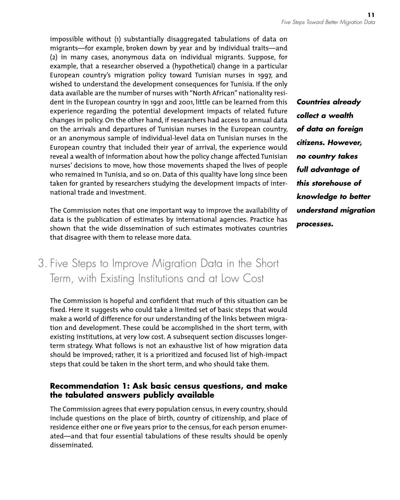impossible without (1) substantially disaggregated tabulations of data on migrants—for example, broken down by year and by individual traits—and (2) in many cases, anonymous data on individual migrants. Suppose, for example, that a researcher observed a (hypothetical) change in a particular European country's migration policy toward Tunisian nurses in 1997, and wished to understand the development consequences for Tunisia. If the only data available are the number of nurses with "North African" nationality resident in the European country in 1991 and 2001, little can be learned from this experience regarding the potential development impacts of related future changes in policy. On the other hand, if researchers had access to annual data on the arrivals and departures of Tunisian nurses in the European country, or an anonymous sample of individual-level data on Tunisian nurses in the European country that included their year of arrival, the experience would reveal a wealth of information about how the policy change affected Tunisian nurses' decisions to move, how those movements shaped the lives of people who remained in Tunisia, and so on. Data of this quality have long since been taken for granted by researchers studying the development impacts of international trade and investment.

The Commission notes that one important way to improve the availability of data is the publication of estimates by international agencies. Practice has shown that the wide dissemination of such estimates motivates countries that disagree with them to release more data.

## 3. Five Steps to Improve Migration Data in the Short Term, with Existing Institutions and at Low Cost

The Commission is hopeful and confident that much of this situation can be fixed. Here it suggests who could take a limited set of basic steps that would make a world of difference for our understanding of the links between migration and development. These could be accomplished in the short term, with existing institutions, at very low cost. A subsequent section discusses longerterm strategy. What follows is not an exhaustive list of how migration data should be improved; rather, it is a prioritized and focused list of high-impact steps that could be taken in the short term, and who should take them.

#### **Recommendation 1: Ask basic census questions, and make the tabulated answers publicly available**

The Commission agrees that every population census, in every country, should include questions on the place of birth, country of citizenship, and place of residence either one or five years prior to the census, for each person enumerated—and that four essential tabulations of these results should be openly disseminated.

*Countries already collect a wealth of data on foreign citizens. However, no country takes full advantage of this storehouse of knowledge to better understand migration processes.*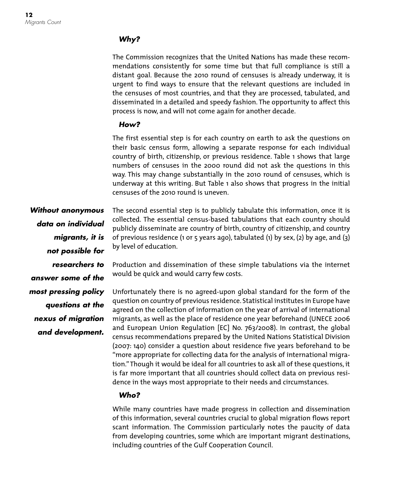#### *Why?*

The Commission recognizes that the United Nations has made these recommendations consistently for some time but that full compliance is still a distant goal. Because the 2010 round of censuses is already underway, it is urgent to find ways to ensure that the relevant questions are included in the censuses of most countries, and that they are processed, tabulated, and disseminated in a detailed and speedy fashion. The opportunity to affect this process is now, and will not come again for another decade.

#### *How?*

The first essential step is for each country on earth to ask the questions on their basic census form, allowing a separate response for each individual country of birth, citizenship, or previous residence. Table 1 shows that large numbers of censuses in the 2000 round did not ask the questions in this way. This may change substantially in the 2010 round of censuses, which is underway at this writing. But Table 1 also shows that progress in the initial censuses of the 2010 round is uneven.

*Without anonymous data on individual migrants, it is not possible for researchers to answer some of the most pressing policy questions at the nexus of migration and development.*

The second essential step is to publicly tabulate this information, once it is collected. The essential census-based tabulations that each country should publicly disseminate are country of birth, country of citizenship, and country of previous residence (1 or 5 years ago), tabulated (1) by sex, (2) by age, and (3) by level of education.

Production and dissemination of these simple tabulations via the internet would be quick and would carry few costs.

Unfortunately there is no agreed-upon global standard for the form of the question on country of previous residence. Statistical institutes in Europe have agreed on the collection of information on the year of arrival of international migrants, as well as the place of residence one year beforehand (UNECE 2006 and European Union Regulation [EC] No. 763/2008). In contrast, the global census recommendations prepared by the United Nations Statistical Division (2007: 140) consider a question about residence five years beforehand to be "more appropriate for collecting data for the analysis of international migration." Though it would be ideal for all countries to ask all of these questions, it is far more important that all countries should collect data on previous residence in the ways most appropriate to their needs and circumstances.

#### *Who?*

While many countries have made progress in collection and dissemination of this information, several countries crucial to global migration flows report scant information. The Commission particularly notes the paucity of data from developing countries, some which are important migrant destinations, including countries of the Gulf Cooperation Council.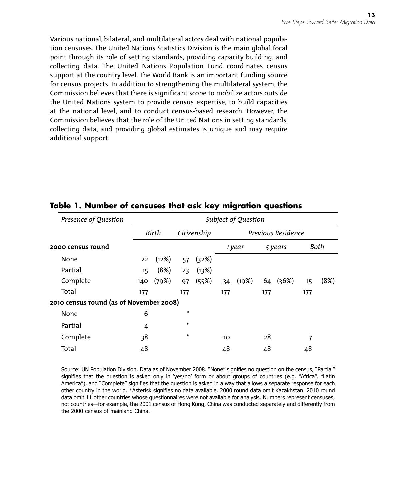Various national, bilateral, and multilateral actors deal with national population censuses. The United Nations Statistics Division is the main global focal point through its role of setting standards, providing capacity building, and collecting data. The United Nations Population Fund coordinates census support at the country level. The World Bank is an important funding source for census projects. In addition to strengthening the multilateral system, the Commission believes that there is significant scope to mobilize actors outside the United Nations system to provide census expertise, to build capacities at the national level, and to conduct census-based research. However, the Commission believes that the role of the United Nations in setting standards, collecting data, and providing global estimates is unique and may require additional support.

| Presence of Question                    | Subject of Question |       |             |       |                    |       |         |          |      |      |
|-----------------------------------------|---------------------|-------|-------------|-------|--------------------|-------|---------|----------|------|------|
|                                         | Birth               |       | Citizenship |       | Previous Residence |       |         |          |      |      |
| 2000 census round                       |                     |       |             |       | 1 year             |       | 5 years |          | Both |      |
| None                                    | 22                  | (12%) | 57          | (32%) |                    |       |         |          |      |      |
| Partial                                 | 15                  | (8%)  | 23          | (13%) |                    |       |         |          |      |      |
| Complete                                | 140                 | (79%) | 97          | (55%) | 34                 | (19%) |         | 64 (36%) | 15   | (8%) |
| Total                                   | 177                 |       | 177         |       | 177                |       | 177     |          | 177  |      |
| 2010 census round (as of November 2008) |                     |       |             |       |                    |       |         |          |      |      |
| None                                    | 6                   |       | *           |       |                    |       |         |          |      |      |
| Partial                                 | 4                   |       | *           |       |                    |       |         |          |      |      |
| Complete                                | 38                  |       | *           |       | 10 <sup>2</sup>    |       | 28      |          | 7    |      |
| Total                                   | 48                  |       |             |       | 48                 |       | 48      |          | 48   |      |

#### **Table 1. Number of censuses that ask key migration questions**

Source: UN Population Division. Data as of November 2008. "None" signifies no question on the census, "Partial" signifies that the question is asked only in 'yes/no' form or about groups of countries (e.g. "Africa", "Latin America"), and "Complete" signifies that the question is asked in a way that allows a separate response for each other country in the world. \*Asterisk signifies no data available. 2000 round data omit Kazakhstan. 2010 round data omit 11 other countries whose questionnaires were not available for analysis. Numbers represent censuses, not countries—for example, the 2001 census of Hong Kong, China was conducted separately and differently from the 2000 census of mainland China.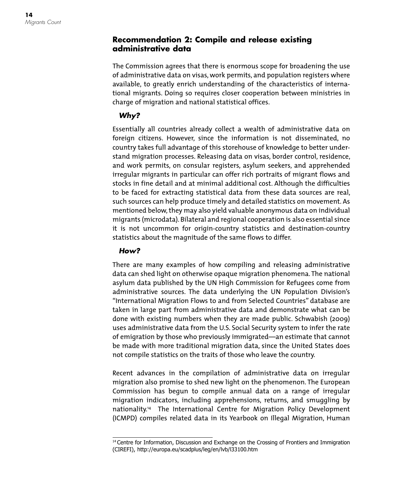#### **Recommendation 2: Compile and release existing administrative data**

The Commission agrees that there is enormous scope for broadening the use of administrative data on visas, work permits, and population registers where available, to greatly enrich understanding of the characteristics of international migrants. Doing so requires closer cooperation between ministries in charge of migration and national statistical offices.

### *Why?*

Essentially all countries already collect a wealth of administrative data on foreign citizens. However, since the information is not disseminated, no country takes full advantage of this storehouse of knowledge to better understand migration processes. Releasing data on visas, border control, residence, and work permits, on consular registers, asylum seekers, and apprehended irregular migrants in particular can offer rich portraits of migrant flows and stocks in fine detail and at minimal additional cost. Although the difficulties to be faced for extracting statistical data from these data sources are real, such sources can help produce timely and detailed statistics on movement. As mentioned below, they may also yield valuable anonymous data on individual migrants (microdata). Bilateral and regional cooperation is also essential since it is not uncommon for origin-country statistics and destination-country statistics about the magnitude of the same flows to differ.

#### *How?*

There are many examples of how compiling and releasing administrative data can shed light on otherwise opaque migration phenomena. The national asylum data published by the UN High Commission for Refugees come from administrative sources. The data underlying the UN Population Division's "International Migration Flows to and from Selected Countries" database are taken in large part from administrative data and demonstrate what can be done with existing numbers when they are made public. Schwabish (2009) uses administrative data from the U.S. Social Security system to infer the rate of emigration by those who previously immigrated—an estimate that cannot be made with more traditional migration data, since the United States does not compile statistics on the traits of those who leave the country.

Recent advances in the compilation of administrative data on irregular migration also promise to shed new light on the phenomenon. The European Commission has begun to compile annual data on a range of irregular migration indicators, including apprehensions, returns, and smuggling by nationality. 14 The International Centre for Migration Policy Development (ICMPD) compiles related data in its Yearbook on Illegal Migration, Human

<sup>&</sup>lt;sup>14</sup> Centre for Information, Discussion and Exchange on the Crossing of Frontiers and Immigration (CIREFI), http://europa.eu/scadplus/leg/en/lvb/l33100.htm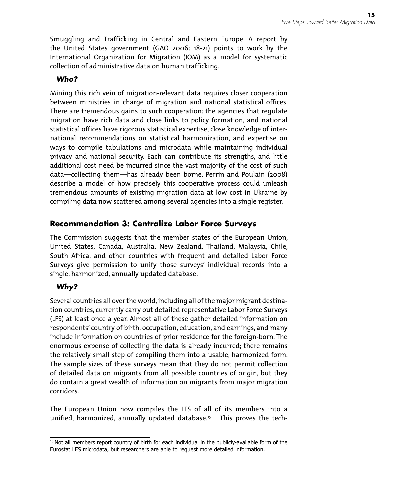Smuggling and Trafficking in Central and Eastern Europe. A report by the United States government (GAO 2006: 18-21) points to work by the International Organization for Migration (IOM) as a model for systematic collection of administrative data on human trafficking.

#### *Who?*

Mining this rich vein of migration-relevant data requires closer cooperation between ministries in charge of migration and national statistical offices. There are tremendous gains to such cooperation: the agencies that regulate migration have rich data and close links to policy formation, and national statistical offices have rigorous statistical expertise, close knowledge of international recommendations on statistical harmonization, and expertise on ways to compile tabulations and microdata while maintaining individual privacy and national security. Each can contribute its strengths, and little additional cost need be incurred since the vast majority of the cost of such data—collecting them—has already been borne. Perrin and Poulain (2008) describe a model of how precisely this cooperative process could unleash tremendous amounts of existing migration data at low cost in Ukraine by compiling data now scattered among several agencies into a single register.

### **Recommendation 3: Centralize Labor Force Surveys**

The Commission suggests that the member states of the European Union, United States, Canada, Australia, New Zealand, Thailand, Malaysia, Chile, South Africa, and other countries with frequent and detailed Labor Force Surveys give permission to unify those surveys' individual records into a single, harmonized, annually updated database.

### *Why?*

Several countries all over the world, including all of the major migrant destination countries, currently carry out detailed representative Labor Force Surveys (LFS) at least once a year. Almost all of these gather detailed information on respondents' country of birth, occupation, education, and earnings, and many include information on countries of prior residence for the foreign-born. The enormous expense of collecting the data is already incurred; there remains the relatively small step of compiling them into a usable, harmonized form. The sample sizes of these surveys mean that they do not permit collection of detailed data on migrants from all possible countries of origin, but they do contain a great wealth of information on migrants from major migration corridors.

The European Union now compiles the LFS of all of its members into a unified, harmonized, annually updated database. 15 This proves the tech-

<sup>&</sup>lt;sup>15</sup> Not all members report country of birth for each individual in the publicly-available form of the Eurostat LFS microdata, but researchers are able to request more detailed information.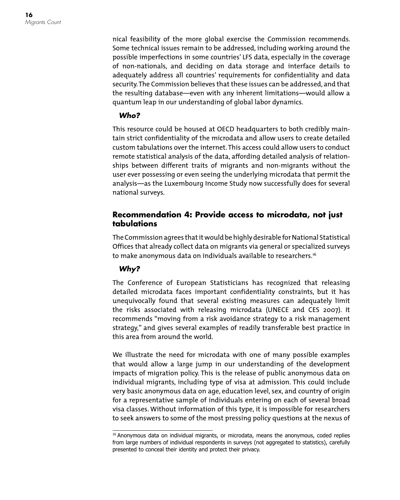nical feasibility of the more global exercise the Commission recommends. Some technical issues remain to be addressed, including working around the possible imperfections in some countries' LFS data, especially in the coverage of non-nationals, and deciding on data storage and interface details to adequately address all countries' requirements for confidentiality and data security. The Commission believes that these issues can be addressed, and that the resulting database—even with any inherent limitations—would allow a quantum leap in our understanding of global labor dynamics.

#### *Who?*

This resource could be housed at OECD headquarters to both credibly maintain strict confidentiality of the microdata and allow users to create detailed custom tabulations over the internet. This access could allow users to conduct remote statistical analysis of the data, affording detailed analysis of relationships between different traits of migrants and non-migrants without the user ever possessing or even seeing the underlying microdata that permit the analysis—as the Luxembourg Income Study now successfully does for several national surveys.

#### **Recommendation 4: Provide access to microdata, not just tabulations**

The Commission agrees that it would be highly desirable for National Statistical Offices that already collect data on migrants via general or specialized surveys to make anonymous data on individuals available to researchers. 16

#### *Why?*

The Conference of European Statisticians has recognized that releasing detailed microdata faces important confidentiality constraints, but it has unequivocally found that several existing measures can adequately limit the risks associated with releasing microdata (UNECE and CES 2007). It recommends "moving from a risk avoidance strategy to a risk management strategy," and gives several examples of readily transferable best practice in this area from around the world.

We illustrate the need for microdata with one of many possible examples that would allow a large jump in our understanding of the development impacts of migration policy. This is the release of public anonymous data on individual migrants, including type of visa at admission. This could include very basic anonymous data on age, education level, sex, and country of origin for a representative sample of individuals entering on each of several broad visa classes. Without information of this type, it is impossible for researchers to seek answers to some of the most pressing policy questions at the nexus of

<sup>16</sup> Anonymous data on individual migrants, or microdata, means the anonymous, coded replies from large numbers of individual respondents in surveys (not aggregated to statistics), carefully presented to conceal their identity and protect their privacy.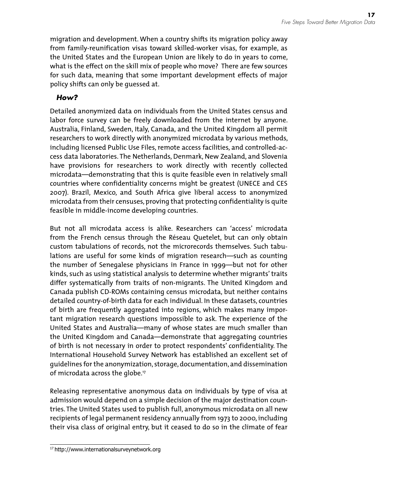migration and development. When a country shifts its migration policy away from family-reunification visas toward skilled-worker visas, for example, as the United States and the European Union are likely to do in years to come, what is the effect on the skill mix of people who move? There are few sources for such data, meaning that some important development effects of major policy shifts can only be guessed at.

#### *How?*

Detailed anonymized data on individuals from the United States census and labor force survey can be freely downloaded from the internet by anyone. Australia, Finland, Sweden, Italy, Canada, and the United Kingdom all permit researchers to work directly with anonymized microdata by various methods, including licensed Public Use Files, remote access facilities, and controlled-access data laboratories. The Netherlands, Denmark, New Zealand, and Slovenia have provisions for researchers to work directly with recently collected microdata—demonstrating that this is quite feasible even in relatively small countries where confidentiality concerns might be greatest (UNECE and CES 2007). Brazil, Mexico, and South Africa give liberal access to anonymized microdata from their censuses, proving that protecting confidentiality is quite feasible in middle-income developing countries.

But not all microdata access is alike. Researchers can 'access' microdata from the French census through the Réseau Quetelet, but can only obtain custom tabulations of records, not the microrecords themselves. Such tabulations are useful for some kinds of migration research—such as counting the number of Senegalese physicians in France in 1999—but not for other kinds, such as using statistical analysis to determine whether migrants' traits differ systematically from traits of non-migrants. The United Kingdom and Canada publish CD-ROMs containing census microdata, but neither contains detailed country-of-birth data for each individual. In these datasets, countries of birth are frequently aggregated into regions, which makes many important migration research questions impossible to ask. The experience of the United States and Australia—many of whose states are much smaller than the United Kingdom and Canada—demonstrate that aggregating countries of birth is not necessary in order to protect respondents' confidentiality. The International Household Survey Network has established an excellent set of guidelines for the anonymization, storage, documentation, and dissemination of microdata across the globe. 17

Releasing representative anonymous data on individuals by type of visa at admission would depend on a simple decision of the major destination countries. The United States used to publish full, anonymous microdata on all new recipients of legal permanent residency annually from 1973 to 2000, including their visa class of original entry, but it ceased to do so in the climate of fear

<sup>17</sup> http://www.internationalsurveynetwork.org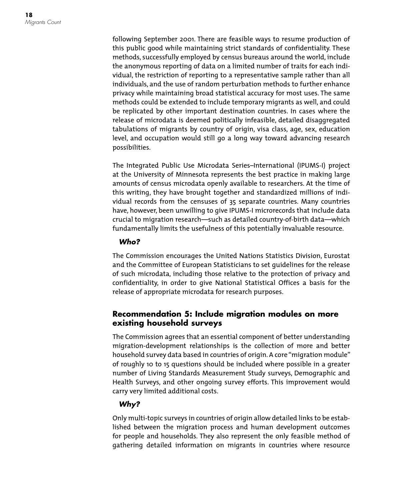following September 2001. There are feasible ways to resume production of this public good while maintaining strict standards of confidentiality. These methods, successfully employed by census bureaus around the world, include the anonymous reporting of data on a limited number of traits for each individual, the restriction of reporting to a representative sample rather than all individuals, and the use of random perturbation methods to further enhance privacy while maintaining broad statistical accuracy for most uses. The same methods could be extended to include temporary migrants as well, and could be replicated by other important destination countries. In cases where the release of microdata is deemed politically infeasible, detailed disaggregated tabulations of migrants by country of origin, visa class, age, sex, education level, and occupation would still go a long way toward advancing research possibilities.

The Integrated Public Use Microdata Series–International (IPUMS-I) project at the University of Minnesota represents the best practice in making large amounts of census microdata openly available to researchers. At the time of this writing, they have brought together and standardized millions of individual records from the censuses of 35 separate countries. Many countries have, however, been unwilling to give IPUMS-I microrecords that include data crucial to migration research—such as detailed country-of-birth data—which fundamentally limits the usefulness of this potentially invaluable resource.

#### *Who?*

The Commission encourages the United Nations Statistics Division, Eurostat and the Committee of European Statisticians to set guidelines for the release of such microdata, including those relative to the protection of privacy and confidentiality, in order to give National Statistical Offices a basis for the release of appropriate microdata for research purposes.

#### **Recommendation 5: Include migration modules on more existing household surveys**

The Commission agrees that an essential component of better understanding migration-development relationships is the collection of more and better household survey data based in countries of origin. A core "migration module" of roughly 10 to 15 questions should be included where possible in a greater number of Living Standards Measurement Study surveys, Demographic and Health Surveys, and other ongoing survey efforts. This improvement would carry very limited additional costs.

#### *Why?*

Only multi-topic surveys in countries of origin allow detailed links to be established between the migration process and human development outcomes for people and households. They also represent the only feasible method of gathering detailed information on migrants in countries where resource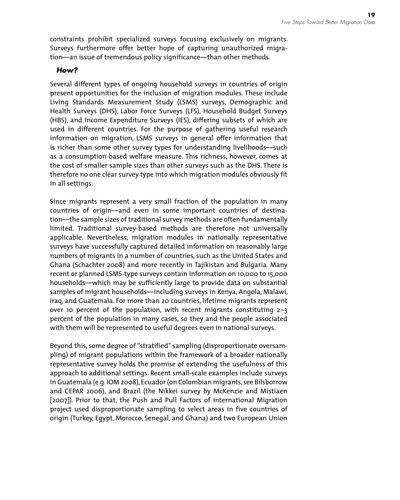constraints prohibit specialized surveys focusing exclusively on migrants. Surveys furthermore offer better hope of capturing unauthorized migration—an issue of tremendous policy significance—than other methods.

#### *How?*

Several different types of ongoing household surveys in countries of origin present opportunities for the inclusion of migration modules. These include Living Standards Measurement Study (LSMS) surveys, Demographic and Health Surveys (DHS), Labor Force Surveys (LFS), Household Budget Surveys (HBS), and Income Expenditure Surveys (IES), differing subsets of which are used in different countries. For the purpose of gathering useful research information on migration, LSMS surveys in general offer information that is richer than some other survey types for understanding livelihoods—such as a consumption-based welfare measure. This richness, however, comes at the cost of smaller sample sizes than other surveys such as the DHS. There is therefore no one clear survey type into which migration modules obviously fit in all settings.

Since migrants represent a very small fraction of the population in many countries of origin—and even in some important countries of destination—the sample sizes of traditional survey methods are often fundamentally limited. Traditional survey-based methods are therefore not universally applicable. Nevertheless, migration modules in nationally representative surveys have successfully captured detailed information on reasonably large numbers of migrants in a number of countries, such as the United States and Ghana (Schachter 2008) and more recently in Tajikistan and Bulgaria. Many recent or planned LSMS-type surveys contain information on 10,000 to 15,000 households—which may be sufficiently large to provide data on substantial samples of migrant households—including surveys in Kenya, Angola, Malawi, Iraq, and Guatemala. For more than 20 countries, lifetime migrants represent over 10 percent of the population, with recent migrants constituting  $2-3$ percent of the population in many cases, so they and the people associated with them will be represented to useful degrees even in national surveys.

Beyond this, some degree of "stratified" sampling (disproportionate oversampling) of migrant populations within the framework of a broader nationally representative survey holds the promise of extending the usefulness of this approach to additional settings. Recent small-scale examples include surveys in Guatemala (e.g. IOM 2008), Ecuador (on Colombian migrants, see Bilsborrow and CEPAR 2006), and Brazil (the Nikkei survey by McKenzie and Mistiaen [2007]). Prior to that, the Push and Pull Factors of International Migration project used disproportionate sampling to select areas in five countries of origin (Turkey, Egypt, Morocco, Senegal, and Ghana) and two European Union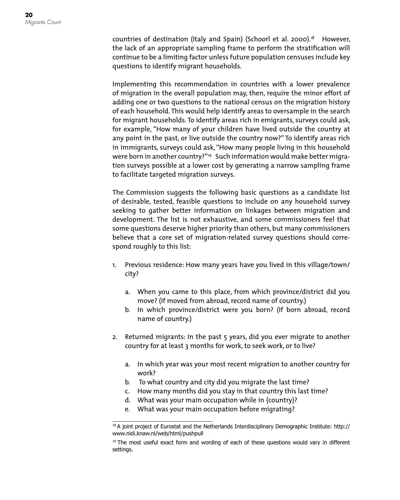countries of destination (Italy and Spain) (Schoorl et al. 2000). 18 However, the lack of an appropriate sampling frame to perform the stratification will continue to be a limiting factor unless future population censuses include key questions to identify migrant households.

Implementing this recommendation in countries with a lower prevalence of migration in the overall population may, then, require the minor effort of adding one or two questions to the national census on the migration history of each household. This would help identify areas to oversample in the search for migrant households. To identify areas rich in emigrants, surveys could ask, for example, "How many of your children have lived outside the country at any point in the past, or live outside the country now?" To identify areas rich in immigrants, surveys could ask, "How many people living in this household were born in another country?"<sup>19</sup> Such information would make better migration surveys possible at a lower cost by generating a narrow sampling frame to facilitate targeted migration surveys.

The Commission suggests the following basic questions as a candidate list of desirable, tested, feasible questions to include on any household survey seeking to gather better information on linkages between migration and development. The list is not exhaustive, and some commissioners feel that some questions deserve higher priority than others, but many commissioners believe that a core set of migration-related survey questions should correspond roughly to this list:

- 1. Previous residence: How many years have you lived in this village/town/ city?
	- a. When you came to this place, from which province/district did you move? (If moved from abroad, record name of country.)
	- b. In which province/district were you born? (If born abroad, record name of country.)
- 2. Returned migrants: In the past 5 years, did you ever migrate to another country for at least 3 months for work, to seek work, or to live?
	- a. In which year was your most recent migration to another country for work?
	- b. To what country and city did you migrate the last time?
	- c. How many months did you stay in that country this last time?
	- d. What was your main occupation while in {country}?
	- e. What was your main occupation before migrating?

<sup>&</sup>lt;sup>18</sup> A joint project of Eurostat and the Netherlands Interdisciplinary Demographic Institute: http:// www.nidi.knaw.nl/web/html/pushpull

<sup>&</sup>lt;sup>19</sup> The most useful exact form and wording of each of these questions would vary in different settings.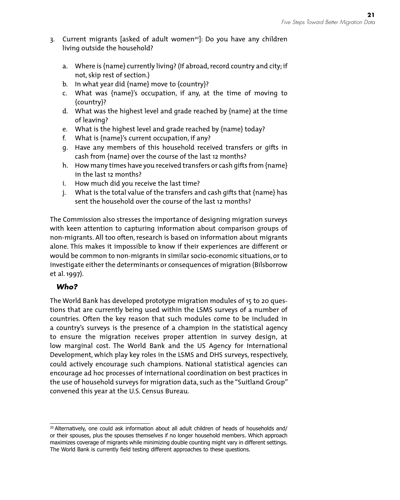- 3. Current migrants [asked of adult women<sup>20</sup>]: Do you have any children living outside the household?
	- a. Where is {name} currently living? (If abroad, record country and city; if not, skip rest of section.)
	- b. In what year did {name} move to {country}?
	- c. What was {name}'s occupation, if any, at the time of moving to {country}?
	- d. What was the highest level and grade reached by {name} at the time of leaving?
	- e. What is the highest level and grade reached by {name} today?
	- f. What is {name}'s current occupation, if any?
	- g. Have any members of this household received transfers or gifts in cash from {name} over the course of the last 12 months?
	- h. How many times have you received transfers or cash gifts from {name} in the last 12 months?
	- i. How much did you receive the last time?
	- j. What is the total value of the transfers and cash gifts that {name} has sent the household over the course of the last 12 months?

The Commission also stresses the importance of designing migration surveys with keen attention to capturing information about comparison groups of non-migrants. All too often, research is based on information about migrants alone. This makes it impossible to know if their experiences are different or would be common to non-migrants in similar socio-economic situations, or to investigate either the determinants or consequences of migration (Bilsborrow et al. 1997).

#### *Who?*

The World Bank has developed prototype migration modules of 15 to 20 questions that are currently being used within the LSMS surveys of a number of countries. Often the key reason that such modules come to be included in a country's surveys is the presence of a champion in the statistical agency to ensure the migration receives proper attention in survey design, at low marginal cost. The World Bank and the US Agency for International Development, which play key roles in the LSMS and DHS surveys, respectively, could actively encourage such champions. National statistical agencies can encourage ad hoc processes of international coordination on best practices in the use of household surveys for migration data, such as the "Suitland Group" convened this year at the U.S. Census Bureau.

<sup>&</sup>lt;sup>20</sup> Alternatively, one could ask information about all adult children of heads of households and/ or their spouses, plus the spouses themselves if no longer household members. Which approach maximizes coverage of migrants while minimizing double counting might vary in different settings. The World Bank is currently field testing different approaches to these questions.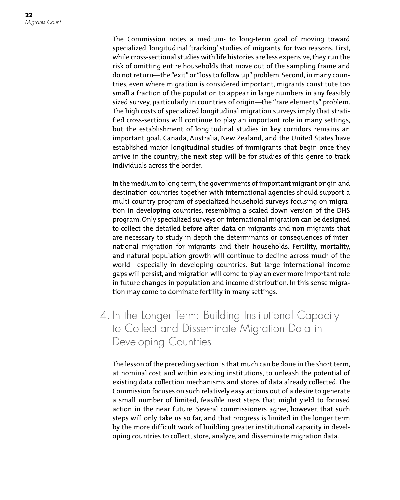The Commission notes a medium- to long-term goal of moving toward specialized, longitudinal 'tracking' studies of migrants, for two reasons. First, while cross-sectional studies with life histories are less expensive, they run the risk of omitting entire households that move out of the sampling frame and do not return—the "exit" or "loss to follow up" problem. Second, in many countries, even where migration is considered important, migrants constitute too small a fraction of the population to appear in large numbers in any feasibly sized survey, particularly in countries of origin—the "rare elements" problem. The high costs of specialized longitudinal migration surveys imply that stratified cross-sections will continue to play an important role in many settings, but the establishment of longitudinal studies in key corridors remains an important goal. Canada, Australia, New Zealand, and the United States have established major longitudinal studies of immigrants that begin once they arrive in the country; the next step will be for studies of this genre to track individuals across the border.

In the medium to long term, the governments of important migrant origin and destination countries together with international agencies should support a multi-country program of specialized household surveys focusing on migration in developing countries, resembling a scaled-down version of the DHS program. Only specialized surveys on international migration can be designed to collect the detailed before-after data on migrants and non-migrants that are necessary to study in depth the determinants or consequences of international migration for migrants and their households. Fertility, mortality, and natural population growth will continue to decline across much of the world—especially in developing countries. But large international income gaps will persist, and migration will come to play an ever more important role in future changes in population and income distribution. In this sense migration may come to dominate fertility in many settings.

4. In the Longer Term: Building Institutional Capacity to Collect and Disseminate Migration Data in Developing Countries

The lesson of the preceding section is that much can be done in the short term, at nominal cost and within existing institutions, to unleash the potential of existing data collection mechanisms and stores of data already collected. The Commission focuses on such relatively easy actions out of a desire to generate a small number of limited, feasible next steps that might yield to focused action in the near future. Several commissioners agree, however, that such steps will only take us so far, and that progress is limited in the longer term by the more difficult work of building greater institutional capacity in developing countries to collect, store, analyze, and disseminate migration data.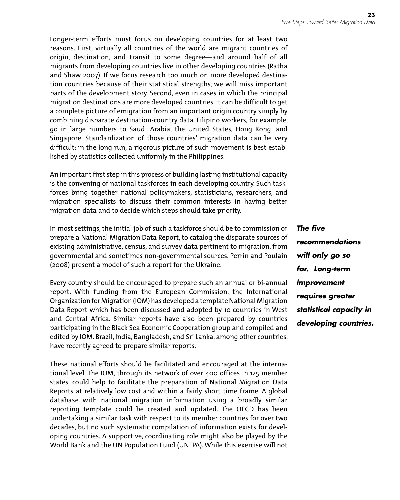Longer-term efforts must focus on developing countries for at least two reasons. First, virtually all countries of the world are migrant countries of origin, destination, and transit to some degree—and around half of all migrants from developing countries live in other developing countries (Ratha and Shaw 2007). If we focus research too much on more developed destination countries because of their statistical strengths, we will miss important parts of the development story. Second, even in cases in which the principal migration destinations are more developed countries, it can be difficult to get a complete picture of emigration from an important origin country simply by combining disparate destination-country data. Filipino workers, for example, go in large numbers to Saudi Arabia, the United States, Hong Kong, and Singapore. Standardization of those countries' migration data can be very difficult; in the long run, a rigorous picture of such movement is best established by statistics collected uniformly in the Philippines.

An important first step in this process of building lasting institutional capacity is the convening of national taskforces in each developing country. Such taskforces bring together national policymakers, statisticians, researchers, and migration specialists to discuss their common interests in having better migration data and to decide which steps should take priority.

In most settings, the initial job of such a taskforce should be to commission or prepare a National Migration Data Report, to catalog the disparate sources of existing administrative, census, and survey data pertinent to migration, from governmental and sometimes non-governmental sources. Perrin and Poulain (2008) present a model of such a report for the Ukraine.

Every country should be encouraged to prepare such an annual or bi-annual report. With funding from the European Commission, the International Organization for Migration (IOM) has developed a template National Migration Data Report which has been discussed and adopted by 10 countries in West and Central Africa. Similar reports have also been prepared by countries participating in the Black Sea Economic Cooperation group and compiled and edited by IOM. Brazil, India, Bangladesh, and Sri Lanka, among other countries, have recently agreed to prepare similar reports.

These national efforts should be facilitated and encouraged at the international level. The IOM, through its network of over 400 offices in 125 member states, could help to facilitate the preparation of National Migration Data Reports at relatively low cost and within a fairly short time frame. A global database with national migration information using a broadly similar reporting template could be created and updated. The OECD has been undertaking a similar task with respect to its member countries for over two decades, but no such systematic compilation of information exists for developing countries. A supportive, coordinating role might also be played by the World Bank and the UN Population Fund (UNFPA). While this exercise will not *The five recommendations will only go so far. Long-term improvement requires greater statistical capacity in developing countries.*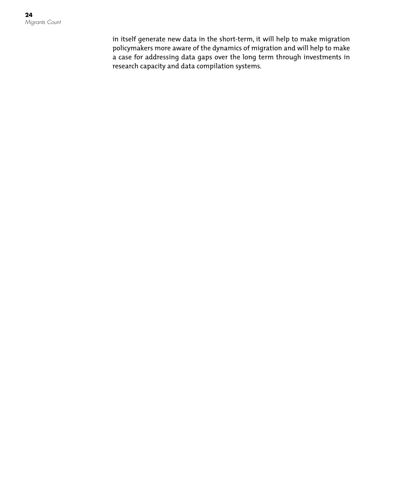in itself generate new data in the short-term, it will help to make migration policymakers more aware of the dynamics of migration and will help to make a case for addressing data gaps over the long term through investments in research capacity and data compilation systems.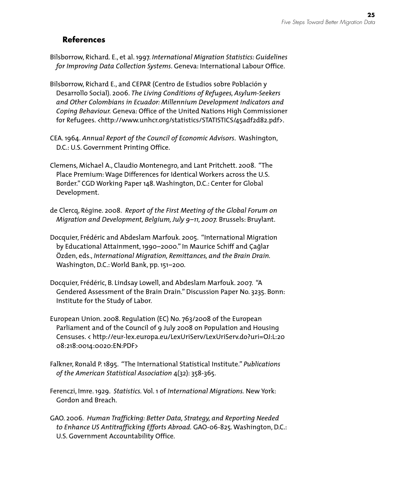#### **References**

- Bilsborrow, Richard. E., et al. 1997. *International Migration Statistics: Guidelines for Improving Data Collection Systems*. Geneva: International Labour Office.
- Bilsborrow, Richard E., and CEPAR (Centro de Estudios sobre Población y Desarrollo Social). 2006. *The Living Conditions of Refugees, Asylum-Seekers and Other Colombians in Ecuador: Millennium Development Indicators and Coping Behaviour.* Geneva: Office of the United Nations High Commissioner for Refugees. <http://www.unhcr.org/statistics/STATISTICS/45adf2d82.pdf>.
- CEA. 1964. *Annual Report of the Council of Economic Advisors*. Washington, D.C.: U.S. Government Printing Office.
- Clemens, Michael A., Claudio Montenegro, and Lant Pritchett. 2008. "The Place Premium: Wage Differences for Identical Workers across the U.S. Border." CGD Working Paper 148. Washington, D.C.: Center for Global Development.
- de Clercq, Régine. 2008. *Report of the First Meeting of the Global Forum on Migration and Development, Belgium, July 9–11, 2007.* Brussels: Bruylant.
- Docquier, Frédéric and Abdeslam Marfouk. 2005. "International Migration by Educational Attainment, 1990–2000." In Maurice Schiff and Çaglar Özden, eds., *International Migration, Remittances, and the Brain Drain.*  Washington, D.C.: World Bank, pp. 151–200.
- Docquier, Frédéric, B. Lindsay Lowell, and Abdeslam Marfouk. 2007. "A Gendered Assessment of the Brain Drain." Discussion Paper No. 3235. Bonn: Institute for the Study of Labor.
- European Union. 2008. Regulation (EC) No. 763/2008 of the European Parliament and of the Council of 9 July 2008 on Population and Housing Censuses. < http://eur-lex.europa.eu/LexUriServ/LexUriServ.do?uri=OJ:L:20 08:218:0014:0020:EN:PDF>
- Falkner, Ronald P. 1895. "The International Statistical Institute." *Publications of the American Statistical Association* 4(32): 358-365.
- Ferenczi, Imre. 1929. *Statistics.* Vol. 1 of *International Migrations.* New York: Gordon and Breach.
- GAO. 2006. *Human Trafficking: Better Data, Strategy, and Reporting Needed to Enhance US Antitrafficking Efforts Abroad.* GAO-06-825. Washington, D.C.: U.S. Government Accountability Office.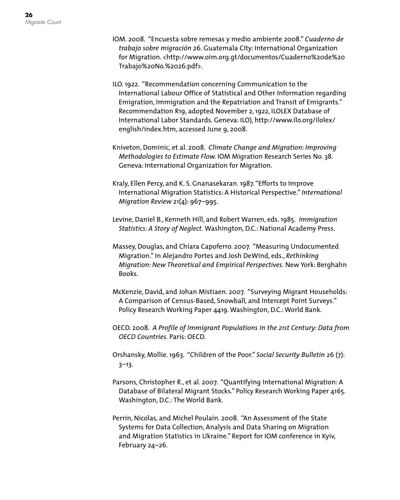- IOM. 2008. "Encuesta sobre remesas y medio ambiente 2008." *Cuaderno de trabajo sobre migración* 26. Guatemala City: International Organization for Migration. <http://www.oim.org.gt/documentos/Cuaderno%20de%20 Trabajo%20No.%2026.pdf>.
- ILO. 1922. "Recommendation concerning Communication to the International Labour Office of Statistical and Other Information regarding Emigration, Immigration and the Repatriation and Transit of Emigrants." Recommendation R19, adopted November 2, 1922, ILOLEX Database of International Labor Standards. Geneva: ILO), http://www.ilo.org/ilolex/ english/index.htm, accessed June 9, 2008.
- Kniveton, Dominic, et al. 2008. *Climate Change and Migration: Improving Methodologies to Estimate Flow.* IOM Migration Research Series No. 38. Geneva: International Organization for Migration.
- Kraly, Ellen Percy, and K. S. Gnanasekaran. 1987. "Efforts to Improve International Migration Statistics: A Historical Perspective." *International Migration Review* 21(4): 967–995.
- Levine, Daniel B., Kenneth Hill, and Robert Warren, eds. 1985. *Immigration Statistics: A Story of Neglect.* Washington, D.C.: National Academy Press.
- Massey, Douglas, and Chiara Capoferro. 2007. "Measuring Undocumented Migration." In Alejandro Portes and Josh DeWind, eds., *Rethinking Migration: New Theoretical and Empirical Perspectives.* New York: Berghahn Books.
- McKenzie, David, and Johan Mistiaen. 2007. "Surveying Migrant Households: A Comparison of Census-Based, Snowball, and Intercept Point Surveys." Policy Research Working Paper 4419. Washington, D.C.: World Bank.
- OECD. 2008. *A Profile of Immigrant Populations in the 21st Century: Data from OECD Countries.* Paris: OECD.
- Orshansky, Mollie. 1963. "Children of the Poor." *Social Security Bulletin* 26 (7): 3–13.
- Parsons, Christopher R., et al. 2007. "Quantifying International Migration: A Database of Bilateral Migrant Stocks." Policy Research Working Paper 4165. Washington, D.C.: The World Bank.
- Perrin, Nicolas, and Michel Poulain. 2008. "An Assessment of the State Systems for Data Collection, Analysis and Data Sharing on Migration and Migration Statistics in Ukraine." Report for IOM conference in Kyiv, February 24–26.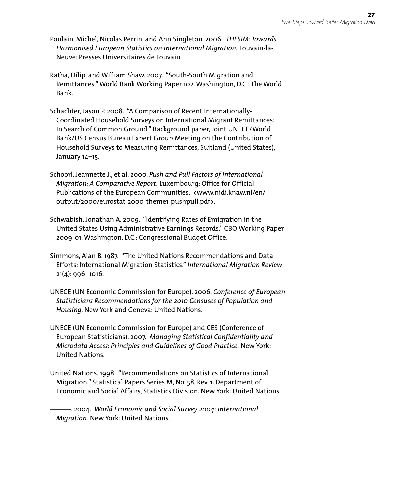- Poulain, Michel, Nicolas Perrin, and Ann Singleton. 2006. *THESIM: Towards Harmonised European Statistics on International Migration.* Louvain-la-Neuve: Presses Universitaires de Louvain.
- Ratha, Dilip, and William Shaw. 2007. "South-South Migration and Remittances." World Bank Working Paper 102. Washington, D.C.: The World Bank.
- Schachter, Jason P. 2008. "A Comparison of Recent Internationally-Coordinated Household Surveys on International Migrant Remittances: In Search of Common Ground." Background paper, Joint UNECE/World Bank/US Census Bureau Expert Group Meeting on the Contribution of Household Surveys to Measuring Remittances, Suitland (United States), January 14–15.
- Schoorl, Jeannette J., et al. 2000. *Push and Pull Factors of International Migration: A Comparative Report.* Luxembourg: Office for Official Publications of the European Communities. <www.nidi.knaw.nl/en/ output/2000/eurostat-2000-theme1-pushpull.pdf>.
- Schwabish, Jonathan A. 2009. "Identifying Rates of Emigration in the United States Using Administrative Earnings Records." CBO Working Paper 2009-01. Washington, D.C.: Congressional Budget Office.
- Simmons, Alan B. 1987. "The United Nations Recommendations and Data Efforts: International Migration Statistics." *International Migration Review*  21(4): 996–1016.
- UNECE (UN Economic Commission for Europe). 2006. *Conference of European Statisticians Recommendations for the 2010 Censuses of Population and Housing*. New York and Geneva: United Nations.
- UNECE (UN Economic Commission for Europe) and CES (Conference of European Statisticians). 2007. *Managing Statistical Confidentiality and Microdata Access: Principles and Guidelines of Good Practice.* New York: United Nations.
- United Nations. 1998. "Recommendations on Statistics of International Migration." Statistical Papers Series M, No. 58, Rev. 1. Department of Economic and Social Affairs, Statistics Division. New York: United Nations.

———. 2004. *World Economic and Social Survey 2004: International Migration.* New York: United Nations.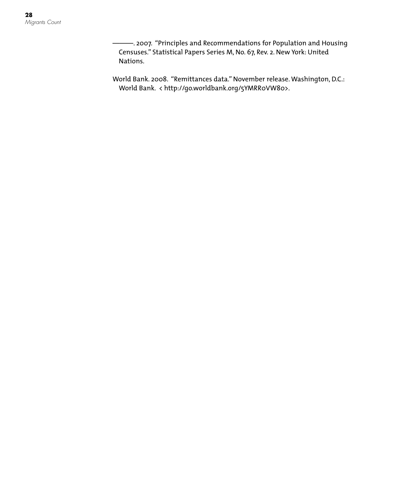———. 2007. "Principles and Recommendations for Population and Housing Censuses." Statistical Papers Series M, No. 67, Rev. 2. New York: United Nations.

World Bank. 2008. "Remittances data." November release. Washington, D.C.: World Bank. < http://go.worldbank.org/5YMRR0VW80>.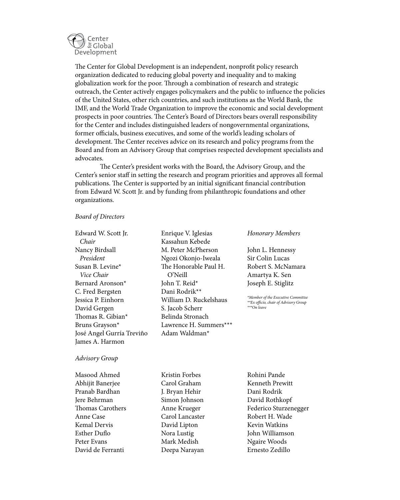

The Center for Global Development is an independent, nonprofit policy research organization dedicated to reducing global poverty and inequality and to making globalization work for the poor. Through a combination of research and strategic outreach, the Center actively engages policymakers and the public to influence the policies of the United States, other rich countries, and such institutions as the World Bank, the IMF, and the World Trade Organization to improve the economic and social development prospects in poor countries. The Center's Board of Directors bears overall responsibility for the Center and includes distinguished leaders of nongovernmental organizations, former officials, business executives, and some of the world's leading scholars of development. The Center receives advice on its research and policy programs from the Board and from an Advisory Group that comprises respected development specialists and advocates.

The Center's president works with the Board, the Advisory Group, and the Center's senior staff in setting the research and program priorities and approves all formal publications. The Center is supported by an initial significant financial contribution from Edward W. Scott Jr. and by funding from philanthropic foundations and other organizations.

#### *Board of Directors*

Edward W. Scott Jr.  *Chair* Nancy Birdsall  *President* Susan B. Levine\* *Vice Chair* Bernard Aronson\* C. Fred Bergsten Jessica P. Einhorn David Gergen Thomas R. Gibian\* Bruns Grayson\* José Angel Gurría Treviño James A. Harmon

#### Kassahun Kebede M. Peter McPherson Ngozi Okonjo-Iweala The Honorable Paul H. O'Neill John T. Reid\* Dani Rodrik\*\* William D. Ruckelshaus S. Jacob Scherr Belinda Stronach Lawrence H. Summers\*\*\* Adam Waldman\*

Enrique V. Iglesias

#### *Honorary Members*

John L. Hennessy Sir Colin Lucas Robert S. McNamara Amartya K. Sen Joseph E. Stiglitz

*\*Member of the Executive Committee \*\*Ex officio, chair of Advisory Group \*\*\*On leave*

#### *Advisory Group*

Masood Ahmed Abhijit Banerjee Pranab Bardhan Jere Behrman Thomas Carothers Anne Case Kemal Dervis Esther Duflo Peter Evans David de Ferranti

Kristin Forbes Carol Graham J. Bryan Hehir Simon Johnson Anne Krueger Carol Lancaster David Lipton Nora Lustig Mark Medish Deepa Narayan

Rohini Pande Kenneth Prewitt Dani Rodrik David Rothkopf Federico Sturzenegger Robert H. Wade Kevin Watkins John Williamson Ngaire Woods Ernesto Zedillo